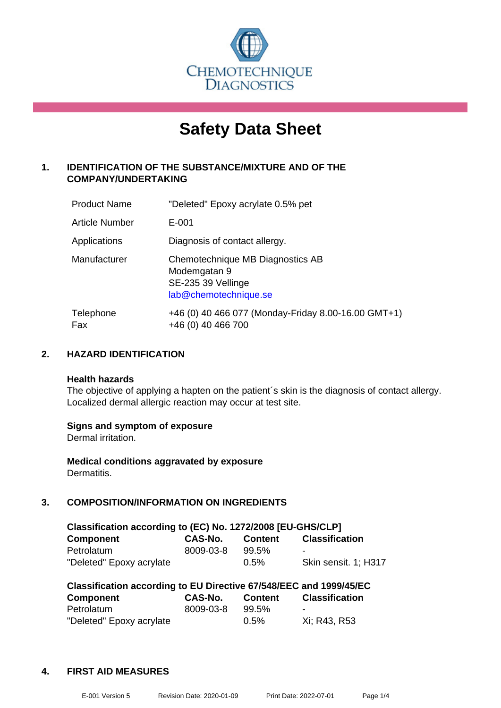

# **Safety Data Sheet**

## **1. IDENTIFICATION OF THE SUBSTANCE/MIXTURE AND OF THE COMPANY/UNDERTAKING**

| <b>Product Name</b> | "Deleted" Epoxy acrylate 0.5% pet                                                               |
|---------------------|-------------------------------------------------------------------------------------------------|
| Article Number      | E-001                                                                                           |
| Applications        | Diagnosis of contact allergy.                                                                   |
| Manufacturer        | Chemotechnique MB Diagnostics AB<br>Modemgatan 9<br>SE-235 39 Vellinge<br>lab@chemotechnique.se |
| Telephone<br>Fax    | +46 (0) 40 466 077 (Monday-Friday 8.00-16.00 GMT+1)<br>+46 (0) 40 466 700                       |

#### **2. HAZARD IDENTIFICATION**

#### **Health hazards**

The objective of applying a hapten on the patient's skin is the diagnosis of contact allergy. Localized dermal allergic reaction may occur at test site.

#### **Signs and symptom of exposure**

Dermal irritation.

**Medical conditions aggravated by exposure** Dermatitis.

### **3. COMPOSITION/INFORMATION ON INGREDIENTS**

| Classification according to (EC) No. 1272/2008 [EU-GHS/CLP] |                |                |                       |  |
|-------------------------------------------------------------|----------------|----------------|-----------------------|--|
| <b>Component</b>                                            | <b>CAS-No.</b> | <b>Content</b> | <b>Classification</b> |  |
| Petrolatum                                                  | 8009-03-8      | 99.5%          | -                     |  |
| "Deleted" Epoxy acrylate                                    |                | $0.5\%$        | Skin sensit. 1: H317  |  |

| Classification according to EU Directive 67/548/EEC and 1999/45/EC |           |                |                       |  |
|--------------------------------------------------------------------|-----------|----------------|-----------------------|--|
| Component                                                          | CAS-No.   | <b>Content</b> | <b>Classification</b> |  |
| Petrolatum                                                         | 8009-03-8 | 99.5%          | -                     |  |
| "Deleted" Epoxy acrylate                                           |           | $0.5\%$        | Xi; R43, R53          |  |

#### **4. FIRST AID MEASURES**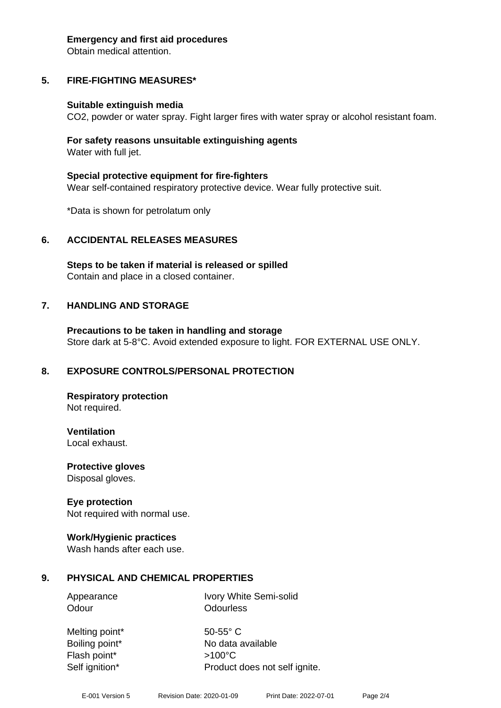#### **Emergency and first aid procedures**

Obtain medical attention.

## **5. FIRE-FIGHTING MEASURES\***

## **Suitable extinguish media**

CO2, powder or water spray. Fight larger fires with water spray or alcohol resistant foam.

#### **For safety reasons unsuitable extinguishing agents** Water with full jet.

**Special protective equipment for fire-fighters** Wear self-contained respiratory protective device. Wear fully protective suit.

\*Data is shown for petrolatum only

## **6. ACCIDENTAL RELEASES MEASURES**

**Steps to be taken if material is released or spilled** Contain and place in a closed container.

## **7. HANDLING AND STORAGE**

**Precautions to be taken in handling and storage** Store dark at 5-8°C. Avoid extended exposure to light. FOR EXTERNAL USE ONLY.

# **8. EXPOSURE CONTROLS/PERSONAL PROTECTION**

**Respiratory protection** Not required.

**Ventilation** Local exhaust.

**Protective gloves**

Disposal gloves.

## **Eye protection**

Not required with normal use.

## **Work/Hygienic practices**

Wash hands after each use.

# **9. PHYSICAL AND CHEMICAL PROPERTIES**

Appearance Ivory White Semi-solid Odour **Odourless** 

Melting point\* 50-55° C Boiling point\* No data available Flash point\* >100°C Self ignition\* Product does not self ignite.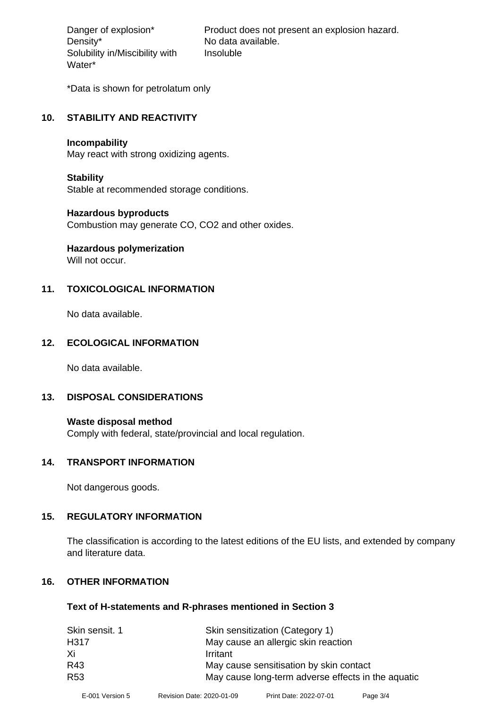Density\* No data available. Solubility in/Miscibility with Water\*

Danger of explosion\* Product does not present an explosion hazard. Insoluble

\*Data is shown for petrolatum only

#### **10. STABILITY AND REACTIVITY**

#### **Incompability**

May react with strong oxidizing agents.

#### **Stability**

Stable at recommended storage conditions.

#### **Hazardous byproducts**

Combustion may generate CO, CO2 and other oxides.

# **Hazardous polymerization**

Will not occur.

## **11. TOXICOLOGICAL INFORMATION**

No data available.

#### **12. ECOLOGICAL INFORMATION**

No data available.

#### **13. DISPOSAL CONSIDERATIONS**

#### **Waste disposal method** Comply with federal, state/provincial and local regulation.

#### **14. TRANSPORT INFORMATION**

Not dangerous goods.

#### **15. REGULATORY INFORMATION**

The classification is according to the latest editions of the EU lists, and extended by company and literature data.

## **16. OTHER INFORMATION**

#### **Text of H-statements and R-phrases mentioned in Section 3**

| Skin sensitization (Category 1)                    |  |
|----------------------------------------------------|--|
| May cause an allergic skin reaction                |  |
| Irritant                                           |  |
| May cause sensitisation by skin contact            |  |
| May cause long-term adverse effects in the aquatic |  |
|                                                    |  |